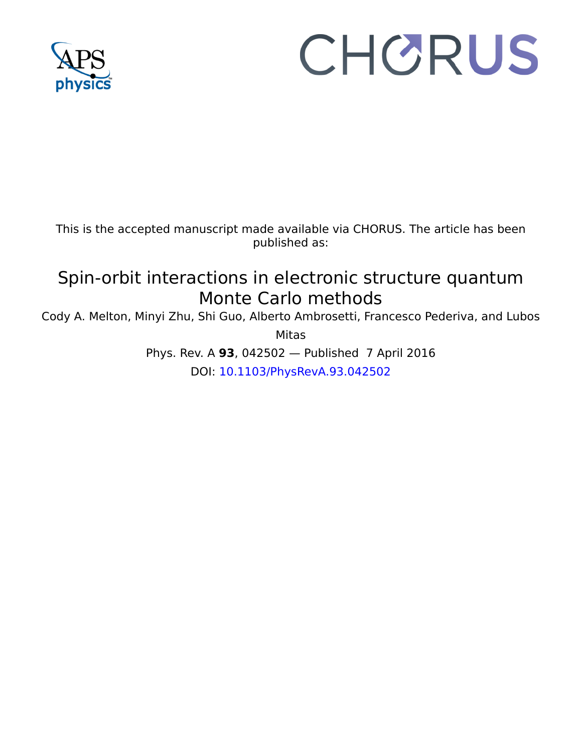

## CHORUS

This is the accepted manuscript made available via CHORUS. The article has been published as:

## Spin-orbit interactions in electronic structure quantum Monte Carlo methods

Cody A. Melton, Minyi Zhu, Shi Guo, Alberto Ambrosetti, Francesco Pederiva, and Lubos

Mitas

Phys. Rev. A **93**, 042502 — Published 7 April 2016 DOI: [10.1103/PhysRevA.93.042502](http://dx.doi.org/10.1103/PhysRevA.93.042502)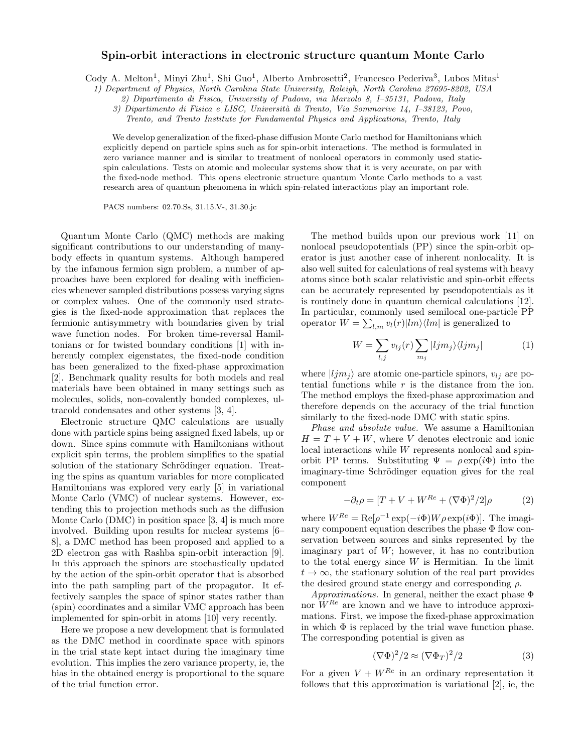## Spin-orbit interactions in electronic structure quantum Monte Carlo

Cody A. Melton<sup>1</sup>, Minyi Zhu<sup>1</sup>, Shi Guo<sup>1</sup>, Alberto Ambrosetti<sup>2</sup>, Francesco Pederiva<sup>3</sup>, Lubos Mitas<sup>1</sup>

1) Department of Physics, North Carolina State University, Raleigh, North Carolina 27695-8202, USA

2) Dipartimento di Fisica, University of Padova, via Marzolo 8, I–35131, Padova, Italy

3) Dipartimento di Fisica e LISC, Universit`a di Trento, Via Sommarive 14, I–38123, Povo,

Trento, and Trento Institute for Fundamental Physics and Applications, Trento, Italy

We develop generalization of the fixed-phase diffusion Monte Carlo method for Hamiltonians which explicitly depend on particle spins such as for spin-orbit interactions. The method is formulated in zero variance manner and is similar to treatment of nonlocal operators in commonly used staticspin calculations. Tests on atomic and molecular systems show that it is very accurate, on par with the fixed-node method. This opens electronic structure quantum Monte Carlo methods to a vast research area of quantum phenomena in which spin-related interactions play an important role.

PACS numbers: 02.70.Ss, 31.15.V-, 31.30.jc

Quantum Monte Carlo (QMC) methods are making significant contributions to our understanding of manybody effects in quantum systems. Although hampered by the infamous fermion sign problem, a number of approaches have been explored for dealing with inefficiencies whenever sampled distributions possess varying signs or complex values. One of the commonly used strategies is the fixed-node approximation that replaces the fermionic antisymmetry with boundaries given by trial wave function nodes. For broken time-reversal Hamiltonians or for twisted boundary conditions [1] with inherently complex eigenstates, the fixed-node condition has been generalized to the fixed-phase approximation [2]. Benchmark quality results for both models and real materials have been obtained in many settings such as molecules, solids, non-covalently bonded complexes, ultracold condensates and other systems [3, 4].

Electronic structure QMC calculations are usually done with particle spins being assigned fixed labels, up or down. Since spins commute with Hamiltonians without explicit spin terms, the problem simplifies to the spatial solution of the stationary Schrödinger equation. Treating the spins as quantum variables for more complicated Hamiltonians was explored very early [5] in variational Monte Carlo (VMC) of nuclear systems. However, extending this to projection methods such as the diffusion Monte Carlo (DMC) in position space [3, 4] is much more involved. Building upon results for nuclear systems [6– 8], a DMC method has been proposed and applied to a 2D electron gas with Rashba spin-orbit interaction [9]. In this approach the spinors are stochastically updated by the action of the spin-orbit operator that is absorbed into the path sampling part of the propagator. It effectively samples the space of spinor states rather than (spin) coordinates and a similar VMC approach has been implemented for spin-orbit in atoms [10] very recently.

Here we propose a new development that is formulated as the DMC method in coordinate space with spinors in the trial state kept intact during the imaginary time evolution. This implies the zero variance property, ie, the bias in the obtained energy is proportional to the square of the trial function error.

The method builds upon our previous work [11] on nonlocal pseudopotentials (PP) since the spin-orbit operator is just another case of inherent nonlocality. It is also well suited for calculations of real systems with heavy atoms since both scalar relativistic and spin-orbit effects can be accurately represented by pseudopotentials as it is routinely done in quantum chemical calculations [12]. In particular, commonly used semilocal one-particle PP operator  $W = \sum_{l,m} v_l(r) |lm\rangle\langle lm|$  is generalized to

$$
W = \sum_{l,j} v_{lj}(r) \sum_{m_j} |ljm_j\rangle \langle ljm_j| \tag{1}
$$

where  $|ljm_j\rangle$  are atomic one-particle spinors,  $v_{lj}$  are potential functions while  $r$  is the distance from the ion. The method employs the fixed-phase approximation and therefore depends on the accuracy of the trial function similarly to the fixed-node DMC with static spins.

Phase and absolute value. We assume a Hamiltonian  $H = T + V + W$ , where V denotes electronic and ionic local interactions while W represents nonlocal and spinorbit PP terms. Substituting  $\Psi = \rho \exp(i\Phi)$  into the imaginary-time Schrödinger equation gives for the real component

$$
-\partial_t \rho = [T + V + W^{Re} + (\nabla \Phi)^2 / 2] \rho \tag{2}
$$

where  $W^{Re} = \text{Re}[\rho^{-1} \exp(-i\Phi) W \rho \exp(i\Phi)].$  The imaginary component equation describes the phase Φ flow conservation between sources and sinks represented by the imaginary part of  $W$ ; however, it has no contribution to the total energy since  $W$  is Hermitian. In the limit  $t \to \infty$ , the stationary solution of the real part provides the desired ground state energy and corresponding  $\rho$ .

 $Approximations$ . In general, neither the exact phase  $\Phi$ nor  $W^{Re}$  are known and we have to introduce approximations. First, we impose the fixed-phase approximation in which  $\Phi$  is replaced by the trial wave function phase. The corresponding potential is given as

$$
(\nabla \Phi)^2 / 2 \approx (\nabla \Phi_T)^2 / 2 \tag{3}
$$

For a given  $V + W^{Re}$  in an ordinary representation it follows that this approximation is variational [2], ie, the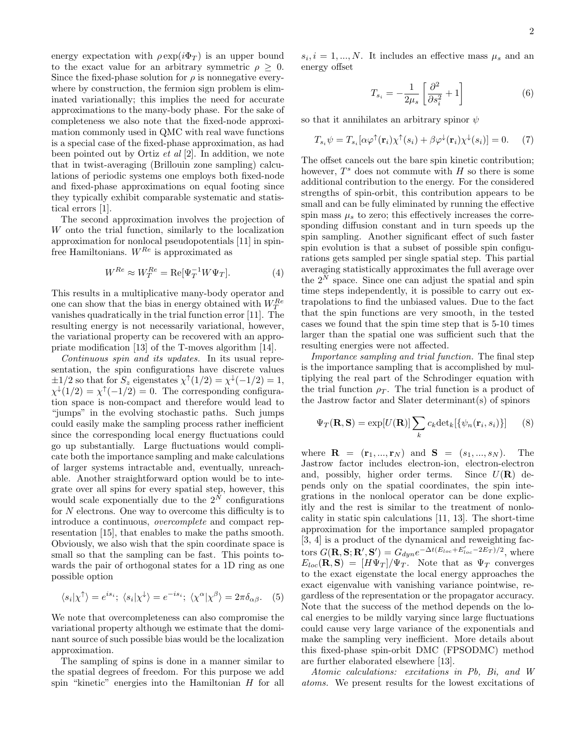energy expectation with  $\rho \exp(i\Phi_T)$  is an upper bound to the exact value for an arbitrary symmetric  $\rho \geq 0$ . Since the fixed-phase solution for  $\rho$  is nonnegative everywhere by construction, the fermion sign problem is eliminated variationally; this implies the need for accurate approximations to the many-body phase. For the sake of completeness we also note that the fixed-node approximation commonly used in QMC with real wave functions is a special case of the fixed-phase approximation, as had been pointed out by Ortiz et al [2]. In addition, we note that in twist-averaging (Brillouin zone sampling) calculations of periodic systems one employs both fixed-node and fixed-phase approximations on equal footing since they typically exhibit comparable systematic and statistical errors [1].

The second approximation involves the projection of W onto the trial function, similarly to the localization approximation for nonlocal pseudopotentials [11] in spinfree Hamiltonians.  $W^{Re}$  is approximated as

$$
W^{Re} \approx W_T^{Re} = \text{Re}[\Psi_T^{-1} W \Psi_T]. \tag{4}
$$

This results in a multiplicative many-body operator and one can show that the bias in energy obtained with  $W_T^{Re}$ vanishes quadratically in the trial function error [11]. The resulting energy is not necessarily variational, however, the variational property can be recovered with an appropriate modification [13] of the T-moves algorithm [14].

Continuous spin and its updates. In its usual representation, the spin configurations have discrete values  $\pm 1/2$  so that for  $S_z$  eigenstates  $\chi^{\uparrow}(1/2) = \chi^{\downarrow}(-1/2) = 1$ ,  $\chi^{\downarrow}(1/2) = \chi^{\uparrow}(-1/2) = 0$ . The corresponding configuration space is non-compact and therefore would lead to "jumps" in the evolving stochastic paths. Such jumps could easily make the sampling process rather inefficient since the corresponding local energy fluctuations could go up substantially. Large fluctuations would complicate both the importance sampling and make calculations of larger systems intractable and, eventually, unreachable. Another straightforward option would be to integrate over all spins for every spatial step, however, this would scale exponentially due to the  $2^N$  configurations for  $N$  electrons. One way to overcome this difficulty is to introduce a continuous, overcomplete and compact representation [15], that enables to make the paths smooth. Obviously, we also wish that the spin coordinate space is small so that the sampling can be fast. This points towards the pair of orthogonal states for a 1D ring as one possible option

$$
\langle s_i | \chi^{\uparrow} \rangle = e^{is_i}; \; \langle s_i | \chi^{\downarrow} \rangle = e^{-is_i}; \; \langle \chi^{\alpha} | \chi^{\beta} \rangle = 2\pi \delta_{\alpha\beta}.
$$
 (5)

We note that overcompleteness can also compromise the variational property although we estimate that the dominant source of such possible bias would be the localization approximation.

The sampling of spins is done in a manner similar to the spatial degrees of freedom. For this purpose we add spin "kinetic" energies into the Hamiltonian H for all

 $s_i, i = 1, ..., N$ . It includes an effective mass  $\mu_s$  and an energy offset

$$
T_{s_i} = -\frac{1}{2\mu_s} \left[ \frac{\partial^2}{\partial s_i^2} + 1 \right] \tag{6}
$$

so that it annihilates an arbitrary spinor  $\psi$ 

$$
T_{s_i}\psi = T_{s_i}[\alpha\varphi^{\uparrow}(\mathbf{r}_i)\chi^{\uparrow}(s_i) + \beta\varphi^{\downarrow}(\mathbf{r}_i)\chi^{\downarrow}(s_i)] = 0. \quad (7)
$$

The offset cancels out the bare spin kinetic contribution; however,  $T^s$  does not commute with  $H$  so there is some additional contribution to the energy. For the considered strengths of spin-orbit, this contribution appears to be small and can be fully eliminated by running the effective spin mass  $\mu_s$  to zero; this effectively increases the corresponding diffusion constant and in turn speeds up the spin sampling. Another significant effect of such faster spin evolution is that a subset of possible spin configurations gets sampled per single spatial step. This partial averaging statistically approximates the full average over the  $2^N$  space. Since one can adjust the spatial and spin time steps independently, it is possible to carry out extrapolations to find the unbiased values. Due to the fact that the spin functions are very smooth, in the tested cases we found that the spin time step that is 5-10 times larger than the spatial one was sufficient such that the resulting energies were not affected.

Importance sampling and trial function. The final step is the importance sampling that is accomplished by multiplying the real part of the Schrodinger equation with the trial function  $\rho_T$ . The trial function is a product of the Jastrow factor and Slater determinant(s) of spinors

$$
\Psi_T(\mathbf{R}, \mathbf{S}) = \exp[U(\mathbf{R})] \sum_k c_k \det_k[\{\psi_n(\mathbf{r}_i, s_i)\}] \qquad (8)
$$

where  $\mathbf{R} = (\mathbf{r}_1, ..., \mathbf{r}_N)$  and  $\mathbf{S} = (s_1, ..., s_N)$ . The Jastrow factor includes electron-ion, electron-electron and, possibly, higher order terms. Since  $U(\mathbf{R})$  depends only on the spatial coordinates, the spin integrations in the nonlocal operator can be done explicitly and the rest is similar to the treatment of nonlocality in static spin calculations [11, 13]. The short-time approximation for the importance sampled propagator [3, 4] is a product of the dynamical and reweighting factors  $G(\mathbf{R}, \mathbf{S}; \mathbf{R}', \mathbf{S}') = G_{dyn}e^{-\Delta t (E_{loc} + E'_{loc} - 2E_T)/2}$ , where  $E_{loc}(\mathbf{R}, \mathbf{S}) = [H\Psi_T]/\Psi_T$ . Note that as  $\Psi_T$  converges to the exact eigenstate the local energy approaches the exact eigenvalue with vanishing variance pointwise, regardless of the representation or the propagator accuracy. Note that the success of the method depends on the local energies to be mildly varying since large fluctuations could cause very large variance of the exponentials and make the sampling very inefficient. More details about this fixed-phase spin-orbit DMC (FPSODMC) method are further elaborated elsewhere [13].

Atomic calculations: excitations in Pb, Bi, and W atoms. We present results for the lowest excitations of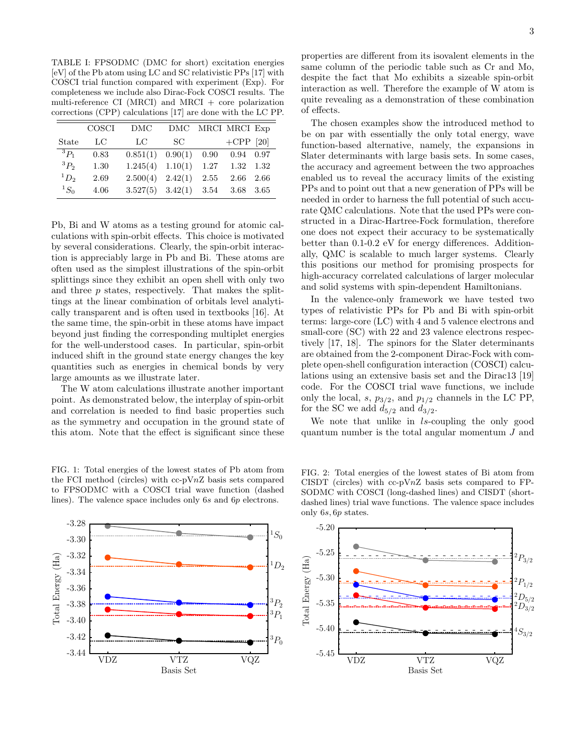TABLE I: FPSODMC (DMC for short) excitation energies [eV] of the Pb atom using LC and SC relativistic PPs [17] with COSCI trial function compared with experiment (Exp). For completeness we include also Dirac-Fock COSCI results. The multi-reference CI (MRCI) and MRCI  $+$  core polarization corrections (CPP) calculations [17] are done with the LC PP.

|           | COSCI | <b>DMC</b>                  | DMC     |      | MRCI MRCI Exp |      |
|-----------|-------|-----------------------------|---------|------|---------------|------|
| State     | LC    | LC                          | SС      |      | $+$ CPP [20]  |      |
| ${}^3P_1$ | 0.83  | 0.851(1)                    | 0.90(1) | 0.90 | 0.94          | 0.97 |
| ${}^3P_2$ | 1.30  | 1.245(4)                    | 1.10(1) | 1.27 | 1.32          | 1.32 |
| ${}^1D_2$ | 2.69  | $2.500(4)$ $2.42(1)$        |         | 2.55 | 2.66          | 2.66 |
| ${}^1S_0$ | 4.06  | $3.527(5)$ $3.42(1)$ $3.54$ |         |      | 3.68          | 3.65 |

Pb, Bi and W atoms as a testing ground for atomic calculations with spin-orbit effects. This choice is motivated by several considerations. Clearly, the spin-orbit interaction is appreciably large in Pb and Bi. These atoms are often used as the simplest illustrations of the spin-orbit splittings since they exhibit an open shell with only two and three  $p$  states, respectively. That makes the splittings at the linear combination of orbitals level analytically transparent and is often used in textbooks [16]. At the same time, the spin-orbit in these atoms have impact beyond just finding the corresponding multiplet energies for the well-understood cases. In particular, spin-orbit induced shift in the ground state energy changes the key quantities such as energies in chemical bonds by very large amounts as we illustrate later.

The W atom calculations illustrate another important point. As demonstrated below, the interplay of spin-orbit and correlation is needed to find basic properties such as the symmetry and occupation in the ground state of this atom. Note that the effect is significant since these

FIG. 1: Total energies of the lowest states of Pb atom from the FCI method (circles) with  $cc-pVnZ$  basis sets compared to FPSODMC with a COSCI trial wave function (dashed lines). The valence space includes only 6s and 6p electrons.



3

properties are different from its isovalent elements in the same column of the periodic table such as Cr and Mo, despite the fact that Mo exhibits a sizeable spin-orbit interaction as well. Therefore the example of W atom is quite revealing as a demonstration of these combination of effects.

The chosen examples show the introduced method to be on par with essentially the only total energy, wave function-based alternative, namely, the expansions in Slater determinants with large basis sets. In some cases, the accuracy and agreement between the two approaches enabled us to reveal the accuracy limits of the existing PPs and to point out that a new generation of PPs will be needed in order to harness the full potential of such accurate QMC calculations. Note that the used PPs were constructed in a Dirac-Hartree-Fock formulation, therefore one does not expect their accuracy to be systematically better than 0.1-0.2 eV for energy differences. Additionally, QMC is scalable to much larger systems. Clearly this positions our method for promising prospects for high-accuracy correlated calculations of larger molecular and solid systems with spin-dependent Hamiltonians.

In the valence-only framework we have tested two types of relativistic PPs for Pb and Bi with spin-orbit terms: large-core (LC) with 4 and 5 valence electrons and small-core (SC) with 22 and 23 valence electrons respectively [17, 18]. The spinors for the Slater determinants are obtained from the 2-component Dirac-Fock with complete open-shell configuration interaction (COSCI) calculations using an extensive basis set and the Dirac13 [19] code. For the COSCI trial wave functions, we include only the local, s,  $p_{3/2}$ , and  $p_{1/2}$  channels in the LC PP, for the SC we add  $d_{5/2}$  and  $d_{3/2}$ .

We note that unlike in ls-coupling the only good quantum number is the total angular momentum J and



FIG. 2: Total energies of the lowest states of Bi atom from CISDT (circles) with cc-p $VnZ$  basis sets compared to FP-SODMC with COSCI (long-dashed lines) and CISDT (shortdashed lines) trial wave functions. The valence space includes only 6s, 6p states.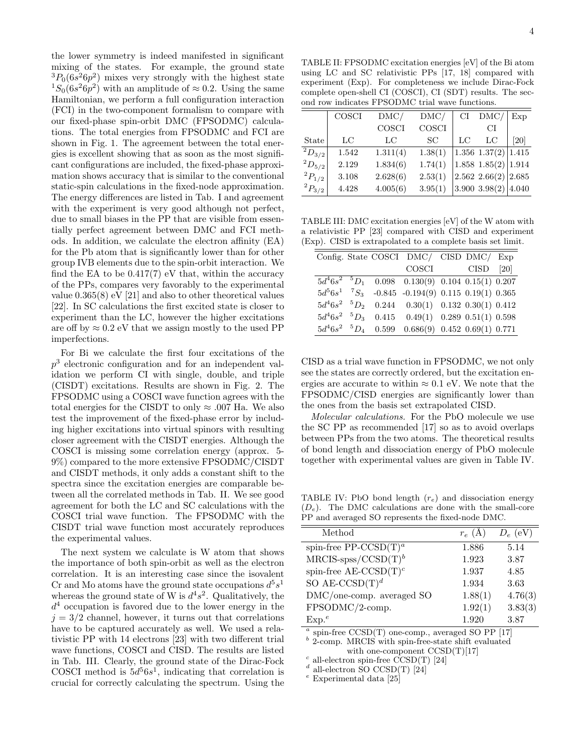the lower symmetry is indeed manifested in significant mixing of the states. For example, the ground state  ${}^{3}P_{0}(6s^{2}6p^{2})$  mixes very strongly with the highest state <sup>1</sup>S<sub>0</sub>(6s<sup>2</sup>6p<sup>2</sup>) with an amplitude of  $\approx$  0.2. Using the same Hamiltonian, we perform a full configuration interaction (FCI) in the two-component formalism to compare with our fixed-phase spin-orbit DMC (FPSODMC) calculations. The total energies from FPSODMC and FCI are shown in Fig. 1. The agreement between the total energies is excellent showing that as soon as the most significant configurations are included, the fixed-phase approximation shows accuracy that is similar to the conventional static-spin calculations in the fixed-node approximation. The energy differences are listed in Tab. I and agreement with the experiment is very good although not perfect, due to small biases in the PP that are visible from essentially perfect agreement between DMC and FCI methods. In addition, we calculate the electron affinity (EA) for the Pb atom that is significantly lower than for other group IVB elements due to the spin-orbit interaction. We find the EA to be  $0.417(7)$  eV that, within the accuracy of the PPs, compares very favorably to the experimental value 0.365(8) eV [21] and also to other theoretical values [22]. In SC calculations the first excited state is closer to experiment than the LC, however the higher excitations are off by  $\approx 0.2$  eV that we assign mostly to the used PP imperfections.

For Bi we calculate the first four excitations of the p 3 electronic configuration and for an independent validation we perform CI with single, double, and triple (CISDT) excitations. Results are shown in Fig. 2. The FPSODMC using a COSCI wave function agrees with the total energies for the CISDT to only  $\approx .007$  Ha. We also test the improvement of the fixed-phase error by including higher excitations into virtual spinors with resulting closer agreement with the CISDT energies. Although the COSCI is missing some correlation energy (approx. 5- 9%) compared to the more extensive FPSODMC/CISDT and CISDT methods, it only adds a constant shift to the spectra since the excitation energies are comparable between all the correlated methods in Tab. II. We see good agreement for both the LC and SC calculations with the COSCI trial wave function. The FPSODMC with the CISDT trial wave function most accurately reproduces the experimental values.

The next system we calculate is W atom that shows the importance of both spin-orbit as well as the electron correlation. It is an interesting case since the isovalent Cr and Mo atoms have the ground state occupations  $d^5s^1$ whereas the ground state of W is  $d^4s^2$ . Qualitatively, the  $d<sup>4</sup>$  occupation is favored due to the lower energy in the  $j = 3/2$  channel, however, it turns out that correlations have to be captured accurately as well. We used a relativistic PP with 14 electrons [23] with two different trial wave functions, COSCI and CISD. The results are listed in Tab. III. Clearly, the ground state of the Dirac-Fock COSCI method is  $5d^56s^1$ , indicating that correlation is crucial for correctly calculating the spectrum. Using the

TABLE II: FPSODMC excitation energies [eV] of the Bi atom using LC and SC relativistic PPs [17, 18] compared with experiment (Exp). For completeness we include Dirac-Fock complete open-shell CI (COSCI), CI (SDT) results. The second row indicates FPSODMC trial wave functions.

|                | COSCI | DMC/     | DMC/    | CI | DMC/                      | Exp   |
|----------------|-------|----------|---------|----|---------------------------|-------|
|                |       | COSCI    | COSCI   |    | CI                        |       |
| State          | LC    | LC       | SС      | LC | LC                        | [20]  |
| $^{-2}D_{3/2}$ | 1.542 | 1.311(4) | 1.38(1) |    | 1.356 $1.37(2)$ 1.415     |       |
| $^{2}D_{5/2}$  | 2.129 | 1.834(6) | 1.74(1) |    | 1.858 $1.85(2)$ 1.914     |       |
| $^{2}P_{1/2}$  | 3.108 | 2.628(6) | 2.53(1) |    | $2.562$ $2.66(2)$ $2.685$ |       |
| $^{2}P_{3/2}$  | 4.428 | 4.005(6) | 3.95(1) |    | $3.900$ $3.98(2)$         | 4.040 |

TABLE III: DMC excitation energies [eV] of the W atom with a relativistic PP [23] compared with CISD and experiment (Exp). CISD is extrapolated to a complete basis set limit.

|  | Config. State COSCI DMC/ CISD DMC/ Exp                    |  |  |
|--|-----------------------------------------------------------|--|--|
|  | COSCI CISD [20]                                           |  |  |
|  | $5d^46s^2$ $^5D_1$ 0.098 0.130(9) 0.104 0.15(1) 0.207     |  |  |
|  | $5d^56s^1$ ${}^7S_3$ -0.845 -0.194(9) 0.115 0.19(1) 0.365 |  |  |
|  | $5d^46s^2$ $^5D_2$ 0.244 0.30(1) 0.132 0.30(1) 0.412      |  |  |
|  | $5d^46s^2$ $^5D_3$ 0.415 0.49(1) 0.289 0.51(1) 0.598      |  |  |
|  | $5d^46s^2$ $^5D_4$ 0.599 0.686(9) 0.452 0.69(1) 0.771     |  |  |

CISD as a trial wave function in FPSODMC, we not only see the states are correctly ordered, but the excitation energies are accurate to within  $\approx 0.1$  eV. We note that the FPSODMC/CISD energies are significantly lower than the ones from the basis set extrapolated CISD.

Molecular calculations. For the PbO molecule we use the SC PP as recommended [17] so as to avoid overlaps between PPs from the two atoms. The theoretical results of bond length and dissociation energy of PbO molecule together with experimental values are given in Table IV.

TABLE IV: PbO bond length  $(r_e)$  and dissociation energy  $(D_e)$ . The DMC calculations are done with the small-core PP and averaged SO represents the fixed-node DMC.

| Method                    | $r_e(A)$ | $D_e$ (eV) |
|---------------------------|----------|------------|
| spin-free PP-CCSD $(T)^a$ | 1.886    | 5.14       |
| $MRCIS-spss/CCSD(T)b$     | 1.923    | 3.87       |
| spin-free AE-CCSD $(T)^c$ | 1.937    | 4.85       |
| SO AE-CCSD $(T)^d$        | 1.934    | 3.63       |
| DMC/one-comp. averaged SO | 1.88(1)  | 4.76(3)    |
| FPSODMC/2-comp.           | 1.92(1)  | 3.83(3)    |
| $Exp.$ <sup>e</sup>       | 1.920    | 3.87       |
|                           |          |            |

a spin-free CCSD(T) one-comp., averaged SO PP [17]

<sup>b</sup> 2-comp. MRCIS with spin-free-state shift evaluated with one-component  $CCSD(T)[17]$ 

 $c$  all-electron spin-free CCSD(T) [24]

 $d$  all-electron SO CCSD(T) [24]

 $e$  Experimental data [25]